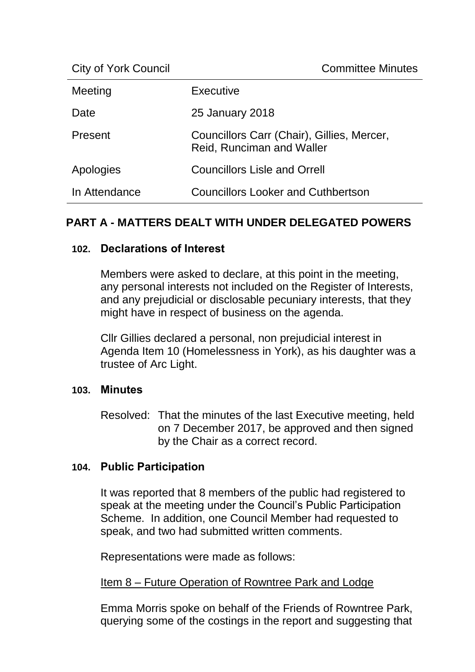| Meeting       | Executive                                                               |
|---------------|-------------------------------------------------------------------------|
| Date          | 25 January 2018                                                         |
| Present       | Councillors Carr (Chair), Gillies, Mercer,<br>Reid, Runciman and Waller |
| Apologies     | <b>Councillors Lisle and Orrell</b>                                     |
| In Attendance | <b>Councillors Looker and Cuthbertson</b>                               |

# **PART A - MATTERS DEALT WITH UNDER DELEGATED POWERS**

## **102. Declarations of Interest**

Members were asked to declare, at this point in the meeting, any personal interests not included on the Register of Interests, and any prejudicial or disclosable pecuniary interests, that they might have in respect of business on the agenda.

Cllr Gillies declared a personal, non prejudicial interest in Agenda Item 10 (Homelessness in York), as his daughter was a trustee of Arc Light.

## **103. Minutes**

Resolved: That the minutes of the last Executive meeting, held on 7 December 2017, be approved and then signed by the Chair as a correct record.

## **104. Public Participation**

It was reported that 8 members of the public had registered to speak at the meeting under the Council's Public Participation Scheme. In addition, one Council Member had requested to speak, and two had submitted written comments.

Representations were made as follows:

## Item 8 – Future Operation of Rowntree Park and Lodge

Emma Morris spoke on behalf of the Friends of Rowntree Park, querying some of the costings in the report and suggesting that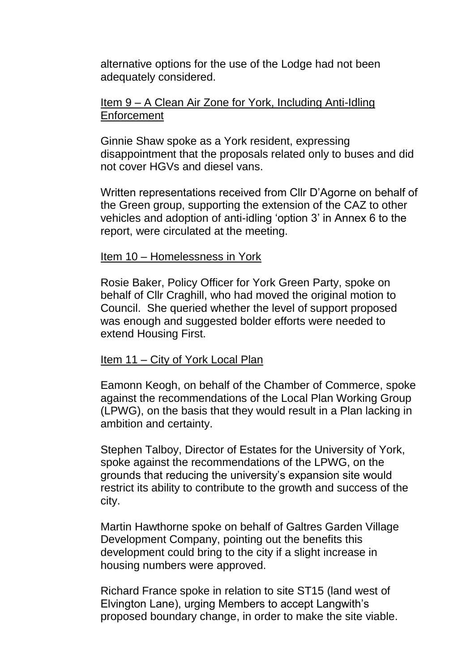alternative options for the use of the Lodge had not been adequately considered.

### Item 9 – A Clean Air Zone for York, Including Anti-Idling **Enforcement**

Ginnie Shaw spoke as a York resident, expressing disappointment that the proposals related only to buses and did not cover HGVs and diesel vans.

Written representations received from Cllr D'Agorne on behalf of the Green group, supporting the extension of the CAZ to other vehicles and adoption of anti-idling 'option 3' in Annex 6 to the report, were circulated at the meeting.

#### Item 10 – Homelessness in York

Rosie Baker, Policy Officer for York Green Party, spoke on behalf of Cllr Craghill, who had moved the original motion to Council. She queried whether the level of support proposed was enough and suggested bolder efforts were needed to extend Housing First.

## Item 11 – City of York Local Plan

Eamonn Keogh, on behalf of the Chamber of Commerce, spoke against the recommendations of the Local Plan Working Group (LPWG), on the basis that they would result in a Plan lacking in ambition and certainty.

Stephen Talboy, Director of Estates for the University of York, spoke against the recommendations of the LPWG, on the grounds that reducing the university's expansion site would restrict its ability to contribute to the growth and success of the city.

Martin Hawthorne spoke on behalf of Galtres Garden Village Development Company, pointing out the benefits this development could bring to the city if a slight increase in housing numbers were approved.

Richard France spoke in relation to site ST15 (land west of Elvington Lane), urging Members to accept Langwith's proposed boundary change, in order to make the site viable.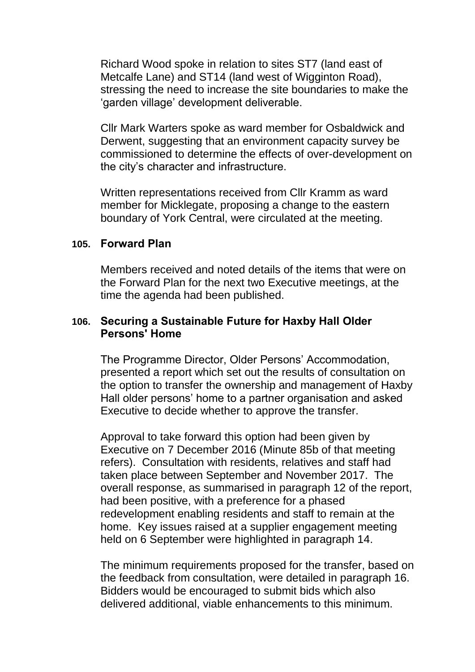Richard Wood spoke in relation to sites ST7 (land east of Metcalfe Lane) and ST14 (land west of Wigginton Road), stressing the need to increase the site boundaries to make the 'garden village' development deliverable.

Cllr Mark Warters spoke as ward member for Osbaldwick and Derwent, suggesting that an environment capacity survey be commissioned to determine the effects of over-development on the city's character and infrastructure.

Written representations received from Cllr Kramm as ward member for Micklegate, proposing a change to the eastern boundary of York Central, were circulated at the meeting.

#### **105. Forward Plan**

Members received and noted details of the items that were on the Forward Plan for the next two Executive meetings, at the time the agenda had been published.

## **106. Securing a Sustainable Future for Haxby Hall Older Persons' Home**

The Programme Director, Older Persons' Accommodation, presented a report which set out the results of consultation on the option to transfer the ownership and management of Haxby Hall older persons' home to a partner organisation and asked Executive to decide whether to approve the transfer.

Approval to take forward this option had been given by Executive on 7 December 2016 (Minute 85b of that meeting refers). Consultation with residents, relatives and staff had taken place between September and November 2017. The overall response, as summarised in paragraph 12 of the report, had been positive, with a preference for a phased redevelopment enabling residents and staff to remain at the home. Key issues raised at a supplier engagement meeting held on 6 September were highlighted in paragraph 14.

The minimum requirements proposed for the transfer, based on the feedback from consultation, were detailed in paragraph 16. Bidders would be encouraged to submit bids which also delivered additional, viable enhancements to this minimum.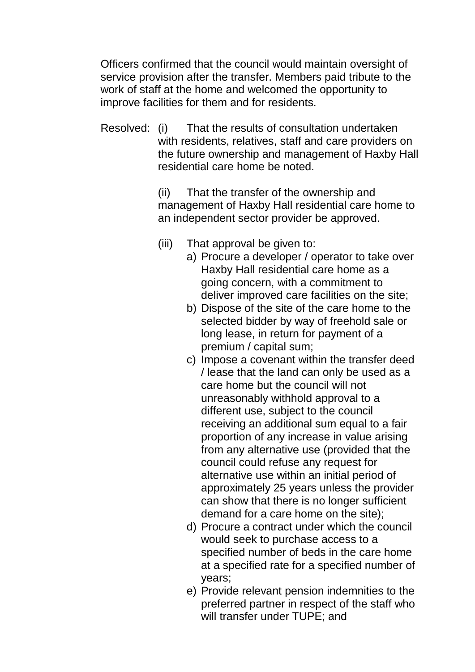Officers confirmed that the council would maintain oversight of service provision after the transfer. Members paid tribute to the work of staff at the home and welcomed the opportunity to improve facilities for them and for residents.

Resolved: (i) That the results of consultation undertaken with residents, relatives, staff and care providers on the future ownership and management of Haxby Hall residential care home be noted.

> (ii) That the transfer of the ownership and management of Haxby Hall residential care home to an independent sector provider be approved.

- (iii) That approval be given to:
	- a) Procure a developer / operator to take over Haxby Hall residential care home as a going concern, with a commitment to deliver improved care facilities on the site;
	- b) Dispose of the site of the care home to the selected bidder by way of freehold sale or long lease, in return for payment of a premium / capital sum;
	- c) Impose a covenant within the transfer deed / lease that the land can only be used as a care home but the council will not unreasonably withhold approval to a different use, subject to the council receiving an additional sum equal to a fair proportion of any increase in value arising from any alternative use (provided that the council could refuse any request for alternative use within an initial period of approximately 25 years unless the provider can show that there is no longer sufficient demand for a care home on the site);
	- d) Procure a contract under which the council would seek to purchase access to a specified number of beds in the care home at a specified rate for a specified number of years;
	- e) Provide relevant pension indemnities to the preferred partner in respect of the staff who will transfer under TUPE; and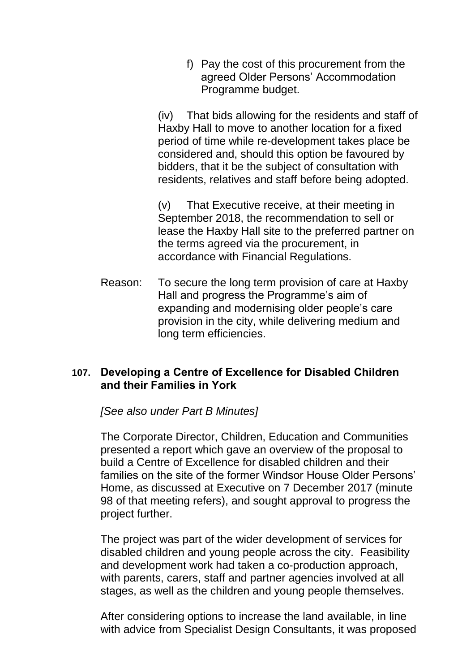f) Pay the cost of this procurement from the agreed Older Persons' Accommodation Programme budget.

(iv) That bids allowing for the residents and staff of Haxby Hall to move to another location for a fixed period of time while re-development takes place be considered and, should this option be favoured by bidders, that it be the subject of consultation with residents, relatives and staff before being adopted.

(v) That Executive receive, at their meeting in September 2018, the recommendation to sell or lease the Haxby Hall site to the preferred partner on the terms agreed via the procurement, in accordance with Financial Regulations.

Reason: To secure the long term provision of care at Haxby Hall and progress the Programme's aim of expanding and modernising older people's care provision in the city, while delivering medium and long term efficiencies.

# **107. Developing a Centre of Excellence for Disabled Children and their Families in York**

*[See also under Part B Minutes]*

The Corporate Director, Children, Education and Communities presented a report which gave an overview of the proposal to build a Centre of Excellence for disabled children and their families on the site of the former Windsor House Older Persons' Home, as discussed at Executive on 7 December 2017 (minute 98 of that meeting refers), and sought approval to progress the project further.

The project was part of the wider development of services for disabled children and young people across the city. Feasibility and development work had taken a co-production approach, with parents, carers, staff and partner agencies involved at all stages, as well as the children and young people themselves.

After considering options to increase the land available, in line with advice from Specialist Design Consultants, it was proposed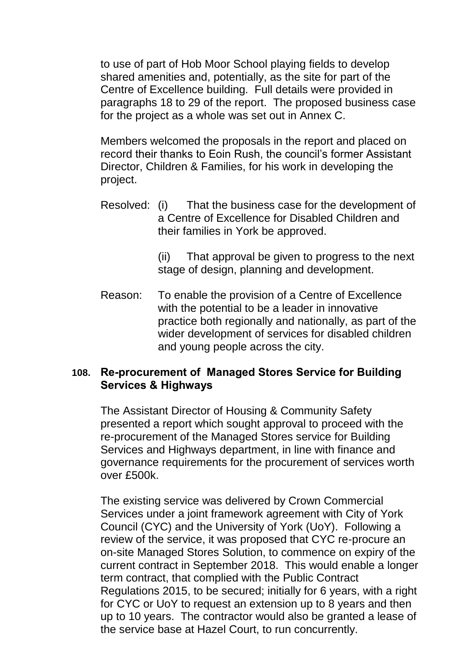to use of part of Hob Moor School playing fields to develop shared amenities and, potentially, as the site for part of the Centre of Excellence building. Full details were provided in paragraphs 18 to 29 of the report. The proposed business case for the project as a whole was set out in Annex C.

Members welcomed the proposals in the report and placed on record their thanks to Eoin Rush, the council's former Assistant Director, Children & Families, for his work in developing the project.

Resolved: (i) That the business case for the development of a Centre of Excellence for Disabled Children and their families in York be approved.

> (ii) That approval be given to progress to the next stage of design, planning and development.

Reason: To enable the provision of a Centre of Excellence with the potential to be a leader in innovative practice both regionally and nationally, as part of the wider development of services for disabled children and young people across the city.

# **108. Re-procurement of Managed Stores Service for Building Services & Highways**

The Assistant Director of Housing & Community Safety presented a report which sought approval to proceed with the re-procurement of the Managed Stores service for Building Services and Highways department, in line with finance and governance requirements for the procurement of services worth over £500k.

The existing service was delivered by Crown Commercial Services under a joint framework agreement with City of York Council (CYC) and the University of York (UoY). Following a review of the service, it was proposed that CYC re-procure an on-site Managed Stores Solution, to commence on expiry of the current contract in September 2018. This would enable a longer term contract, that complied with the Public Contract Regulations 2015, to be secured; initially for 6 years, with a right for CYC or UoY to request an extension up to 8 years and then up to 10 years. The contractor would also be granted a lease of the service base at Hazel Court, to run concurrently.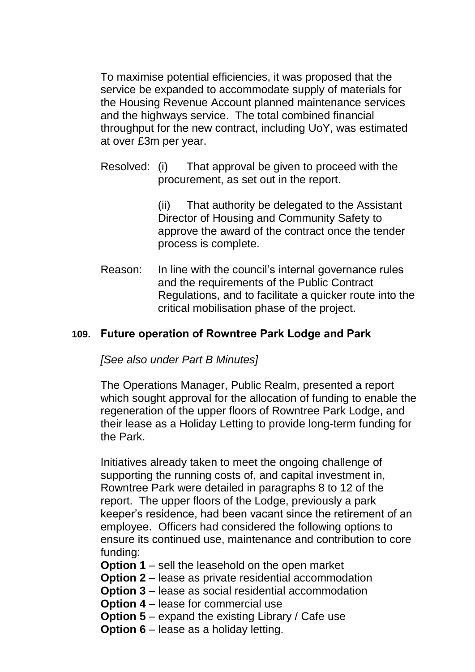To maximise potential efficiencies, it was proposed that the service be expanded to accommodate supply of materials for the Housing Revenue Account planned maintenance services and the highways service. The total combined financial throughput for the new contract, including UoY, was estimated at over £3m per year.

Resolved: (i) That approval be given to proceed with the procurement, as set out in the report.

> (ii) That authority be delegated to the Assistant Director of Housing and Community Safety to approve the award of the contract once the tender process is complete.

Reason: In line with the council's internal governance rules and the requirements of the Public Contract Regulations, and to facilitate a quicker route into the critical mobilisation phase of the project.

# **109. Future operation of Rowntree Park Lodge and Park**

*[See also under Part B Minutes]*

The Operations Manager, Public Realm, presented a report which sought approval for the allocation of funding to enable the regeneration of the upper floors of Rowntree Park Lodge, and their lease as a Holiday Letting to provide long-term funding for the Park.

Initiatives already taken to meet the ongoing challenge of supporting the running costs of, and capital investment in, Rowntree Park were detailed in paragraphs 8 to 12 of the report. The upper floors of the Lodge, previously a park keeper's residence, had been vacant since the retirement of an employee. Officers had considered the following options to ensure its continued use, maintenance and contribution to core funding:

- **Option 1** sell the leasehold on the open market
- **Option 2** lease as private residential accommodation
- **Option 3** lease as social residential accommodation
- **Option 4** lease for commercial use
- **Option 5** expand the existing Library / Cafe use
- **Option 6** lease as a holiday letting.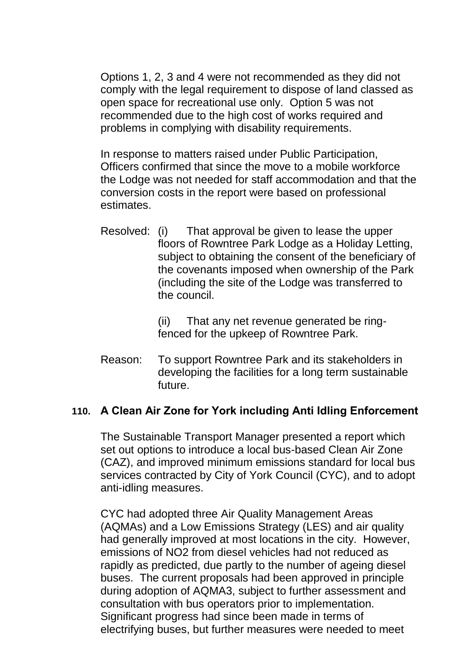Options 1, 2, 3 and 4 were not recommended as they did not comply with the legal requirement to dispose of land classed as open space for recreational use only. Option 5 was not recommended due to the high cost of works required and problems in complying with disability requirements.

In response to matters raised under Public Participation, Officers confirmed that since the move to a mobile workforce the Lodge was not needed for staff accommodation and that the conversion costs in the report were based on professional estimates.

Resolved: (i) That approval be given to lease the upper floors of Rowntree Park Lodge as a Holiday Letting, subject to obtaining the consent of the beneficiary of the covenants imposed when ownership of the Park (including the site of the Lodge was transferred to the council.

> (ii) That any net revenue generated be ringfenced for the upkeep of Rowntree Park.

Reason: To support Rowntree Park and its stakeholders in developing the facilities for a long term sustainable future.

# **110. A Clean Air Zone for York including Anti Idling Enforcement**

The Sustainable Transport Manager presented a report which set out options to introduce a local bus-based Clean Air Zone (CAZ), and improved minimum emissions standard for local bus services contracted by City of York Council (CYC), and to adopt anti-idling measures.

CYC had adopted three Air Quality Management Areas (AQMAs) and a Low Emissions Strategy (LES) and air quality had generally improved at most locations in the city. However, emissions of NO2 from diesel vehicles had not reduced as rapidly as predicted, due partly to the number of ageing diesel buses. The current proposals had been approved in principle during adoption of AQMA3, subject to further assessment and consultation with bus operators prior to implementation. Significant progress had since been made in terms of electrifying buses, but further measures were needed to meet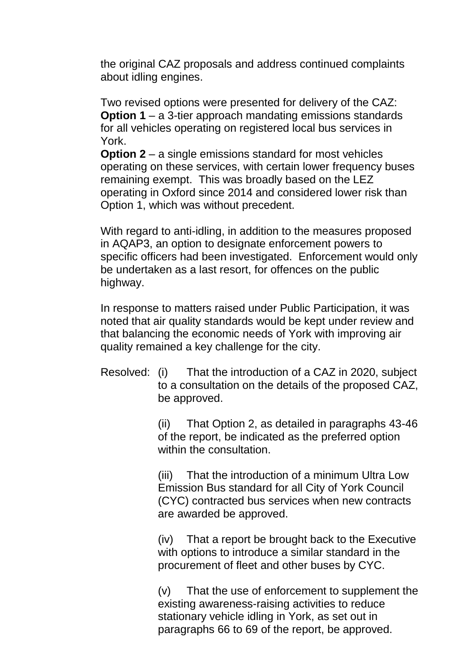the original CAZ proposals and address continued complaints about idling engines.

Two revised options were presented for delivery of the CAZ: **Option 1** – a 3-tier approach mandating emissions standards for all vehicles operating on registered local bus services in York.

**Option 2** – a single emissions standard for most vehicles operating on these services, with certain lower frequency buses remaining exempt. This was broadly based on the LEZ operating in Oxford since 2014 and considered lower risk than Option 1, which was without precedent.

With regard to anti-idling, in addition to the measures proposed in AQAP3, an option to designate enforcement powers to specific officers had been investigated. Enforcement would only be undertaken as a last resort, for offences on the public highway.

In response to matters raised under Public Participation, it was noted that air quality standards would be kept under review and that balancing the economic needs of York with improving air quality remained a key challenge for the city.

Resolved: (i) That the introduction of a CAZ in 2020, subject to a consultation on the details of the proposed CAZ, be approved.

> (ii) That Option 2, as detailed in paragraphs 43-46 of the report, be indicated as the preferred option within the consultation.

(iii) That the introduction of a minimum Ultra Low Emission Bus standard for all City of York Council (CYC) contracted bus services when new contracts are awarded be approved.

(iv) That a report be brought back to the Executive with options to introduce a similar standard in the procurement of fleet and other buses by CYC.

(v) That the use of enforcement to supplement the existing awareness-raising activities to reduce stationary vehicle idling in York, as set out in paragraphs 66 to 69 of the report, be approved.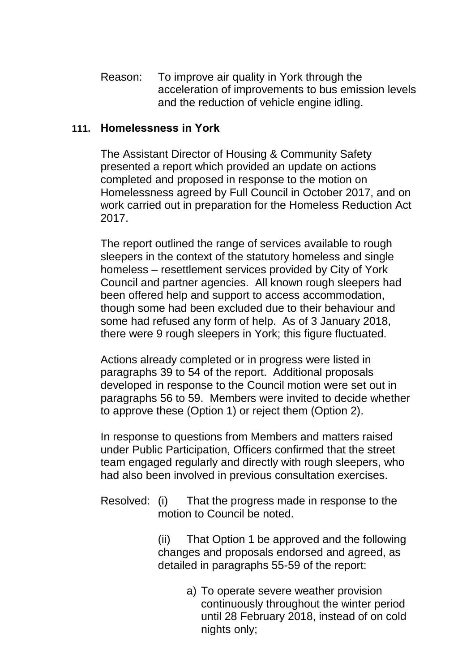Reason: To improve air quality in York through the acceleration of improvements to bus emission levels and the reduction of vehicle engine idling.

# **111. Homelessness in York**

The Assistant Director of Housing & Community Safety presented a report which provided an update on actions completed and proposed in response to the motion on Homelessness agreed by Full Council in October 2017, and on work carried out in preparation for the Homeless Reduction Act 2017.

The report outlined the range of services available to rough sleepers in the context of the statutory homeless and single homeless – resettlement services provided by City of York Council and partner agencies. All known rough sleepers had been offered help and support to access accommodation, though some had been excluded due to their behaviour and some had refused any form of help. As of 3 January 2018, there were 9 rough sleepers in York; this figure fluctuated.

Actions already completed or in progress were listed in paragraphs 39 to 54 of the report. Additional proposals developed in response to the Council motion were set out in paragraphs 56 to 59. Members were invited to decide whether to approve these (Option 1) or reject them (Option 2).

In response to questions from Members and matters raised under Public Participation, Officers confirmed that the street team engaged regularly and directly with rough sleepers, who had also been involved in previous consultation exercises.

Resolved: (i) That the progress made in response to the motion to Council be noted.

> (ii) That Option 1 be approved and the following changes and proposals endorsed and agreed, as detailed in paragraphs 55-59 of the report:

> > a) To operate severe weather provision continuously throughout the winter period until 28 February 2018, instead of on cold nights only;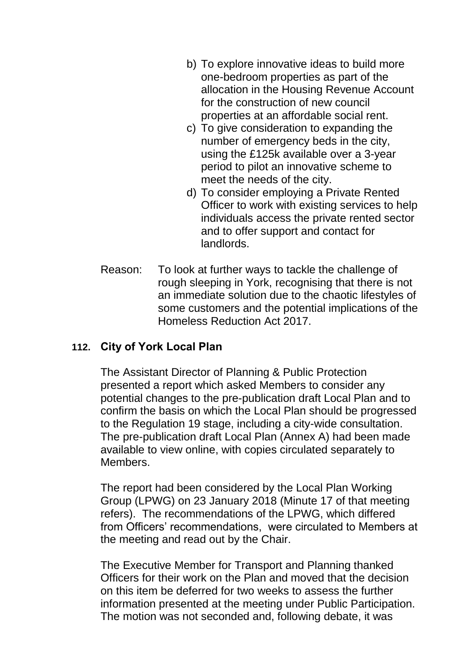- b) To explore innovative ideas to build more one-bedroom properties as part of the allocation in the Housing Revenue Account for the construction of new council properties at an affordable social rent.
- c) To give consideration to expanding the number of emergency beds in the city, using the £125k available over a 3-year period to pilot an innovative scheme to meet the needs of the city.
- d) To consider employing a Private Rented Officer to work with existing services to help individuals access the private rented sector and to offer support and contact for landlords.
- Reason: To look at further ways to tackle the challenge of rough sleeping in York, recognising that there is not an immediate solution due to the chaotic lifestyles of some customers and the potential implications of the Homeless Reduction Act 2017.

# **112. City of York Local Plan**

The Assistant Director of Planning & Public Protection presented a report which asked Members to consider any potential changes to the pre-publication draft Local Plan and to confirm the basis on which the Local Plan should be progressed to the Regulation 19 stage, including a city-wide consultation. The pre-publication draft Local Plan (Annex A) had been made available to view online, with copies circulated separately to Members.

The report had been considered by the Local Plan Working Group (LPWG) on 23 January 2018 (Minute 17 of that meeting refers). The recommendations of the LPWG, which differed from Officers' recommendations, were circulated to Members at the meeting and read out by the Chair.

The Executive Member for Transport and Planning thanked Officers for their work on the Plan and moved that the decision on this item be deferred for two weeks to assess the further information presented at the meeting under Public Participation. The motion was not seconded and, following debate, it was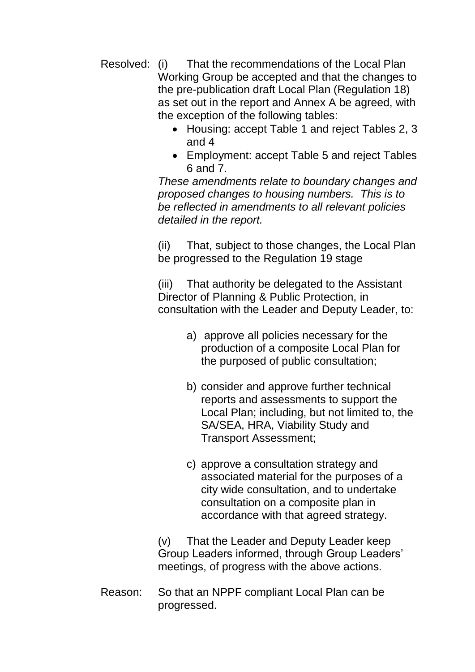- Resolved: (i) That the recommendations of the Local Plan Working Group be accepted and that the changes to the pre-publication draft Local Plan (Regulation 18) as set out in the report and Annex A be agreed, with the exception of the following tables:
	- Housing: accept Table 1 and reject Tables 2, 3 and 4
	- Employment: accept Table 5 and reject Tables 6 and 7.

*These amendments relate to boundary changes and proposed changes to housing numbers. This is to be reflected in amendments to all relevant policies detailed in the report.* 

(ii) That, subject to those changes, the Local Plan be progressed to the Regulation 19 stage

(iii) That authority be delegated to the Assistant Director of Planning & Public Protection, in consultation with the Leader and Deputy Leader, to:

- a) approve all policies necessary for the production of a composite Local Plan for the purposed of public consultation;
- b) consider and approve further technical reports and assessments to support the Local Plan; including, but not limited to, the SA/SEA, HRA, Viability Study and Transport Assessment;
- c) approve a consultation strategy and associated material for the purposes of a city wide consultation, and to undertake consultation on a composite plan in accordance with that agreed strategy.

(v) That the Leader and Deputy Leader keep Group Leaders informed, through Group Leaders' meetings, of progress with the above actions.

Reason: So that an NPPF compliant Local Plan can be progressed.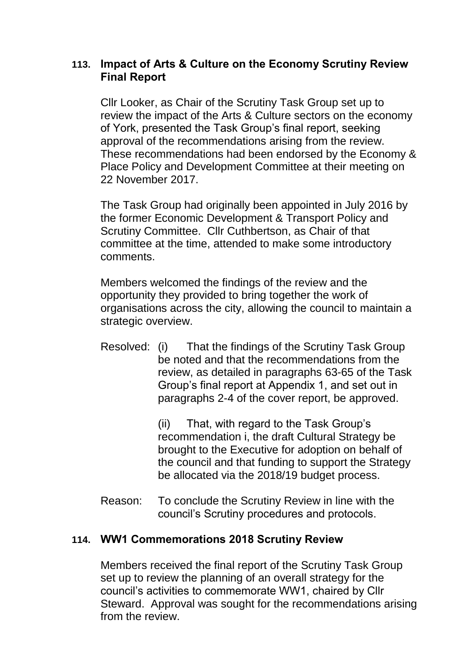# **113. Impact of Arts & Culture on the Economy Scrutiny Review Final Report**

Cllr Looker, as Chair of the Scrutiny Task Group set up to review the impact of the Arts & Culture sectors on the economy of York, presented the Task Group's final report, seeking approval of the recommendations arising from the review. These recommendations had been endorsed by the Economy & Place Policy and Development Committee at their meeting on 22 November 2017.

The Task Group had originally been appointed in July 2016 by the former Economic Development & Transport Policy and Scrutiny Committee. Cllr Cuthbertson, as Chair of that committee at the time, attended to make some introductory comments.

Members welcomed the findings of the review and the opportunity they provided to bring together the work of organisations across the city, allowing the council to maintain a strategic overview.

Resolved: (i) That the findings of the Scrutiny Task Group be noted and that the recommendations from the review, as detailed in paragraphs 63-65 of the Task Group's final report at Appendix 1, and set out in paragraphs 2-4 of the cover report, be approved.

> (ii) That, with regard to the Task Group's recommendation i, the draft Cultural Strategy be brought to the Executive for adoption on behalf of the council and that funding to support the Strategy be allocated via the 2018/19 budget process.

Reason: To conclude the Scrutiny Review in line with the council's Scrutiny procedures and protocols.

## **114. WW1 Commemorations 2018 Scrutiny Review**

Members received the final report of the Scrutiny Task Group set up to review the planning of an overall strategy for the council's activities to commemorate WW1, chaired by Cllr Steward. Approval was sought for the recommendations arising from the review.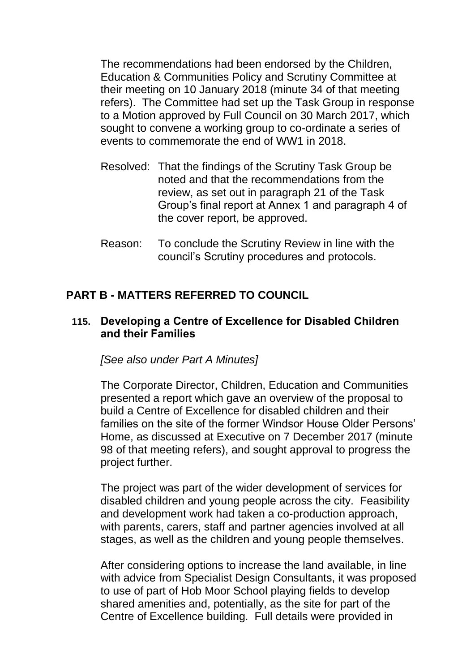The recommendations had been endorsed by the Children, Education & Communities Policy and Scrutiny Committee at their meeting on 10 January 2018 (minute 34 of that meeting refers). The Committee had set up the Task Group in response to a Motion approved by Full Council on 30 March 2017, which sought to convene a working group to co-ordinate a series of events to commemorate the end of WW1 in 2018.

- Resolved: That the findings of the Scrutiny Task Group be noted and that the recommendations from the review, as set out in paragraph 21 of the Task Group's final report at Annex 1 and paragraph 4 of the cover report, be approved.
- Reason: To conclude the Scrutiny Review in line with the council's Scrutiny procedures and protocols.

# **PART B - MATTERS REFERRED TO COUNCIL**

## **115. Developing a Centre of Excellence for Disabled Children and their Families**

*[See also under Part A Minutes]*

The Corporate Director, Children, Education and Communities presented a report which gave an overview of the proposal to build a Centre of Excellence for disabled children and their families on the site of the former Windsor House Older Persons' Home, as discussed at Executive on 7 December 2017 (minute 98 of that meeting refers), and sought approval to progress the project further.

The project was part of the wider development of services for disabled children and young people across the city. Feasibility and development work had taken a co-production approach, with parents, carers, staff and partner agencies involved at all stages, as well as the children and young people themselves.

After considering options to increase the land available, in line with advice from Specialist Design Consultants, it was proposed to use of part of Hob Moor School playing fields to develop shared amenities and, potentially, as the site for part of the Centre of Excellence building. Full details were provided in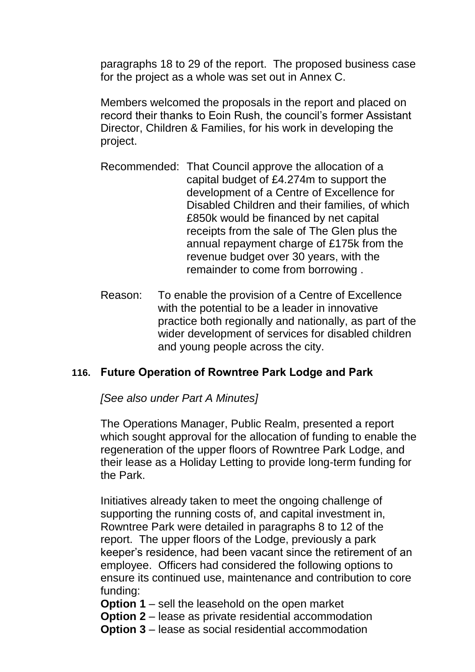paragraphs 18 to 29 of the report. The proposed business case for the project as a whole was set out in Annex C.

Members welcomed the proposals in the report and placed on record their thanks to Eoin Rush, the council's former Assistant Director, Children & Families, for his work in developing the project.

- Recommended: That Council approve the allocation of a capital budget of £4.274m to support the development of a Centre of Excellence for Disabled Children and their families, of which £850k would be financed by net capital receipts from the sale of The Glen plus the annual repayment charge of £175k from the revenue budget over 30 years, with the remainder to come from borrowing .
- Reason: To enable the provision of a Centre of Excellence with the potential to be a leader in innovative practice both regionally and nationally, as part of the wider development of services for disabled children and young people across the city.

# **116. Future Operation of Rowntree Park Lodge and Park**

*[See also under Part A Minutes]*

The Operations Manager, Public Realm, presented a report which sought approval for the allocation of funding to enable the regeneration of the upper floors of Rowntree Park Lodge, and their lease as a Holiday Letting to provide long-term funding for the Park.

Initiatives already taken to meet the ongoing challenge of supporting the running costs of, and capital investment in, Rowntree Park were detailed in paragraphs 8 to 12 of the report. The upper floors of the Lodge, previously a park keeper's residence, had been vacant since the retirement of an employee. Officers had considered the following options to ensure its continued use, maintenance and contribution to core funding:

- **Option 1** sell the leasehold on the open market
- **Option 2** lease as private residential accommodation
- **Option 3** lease as social residential accommodation